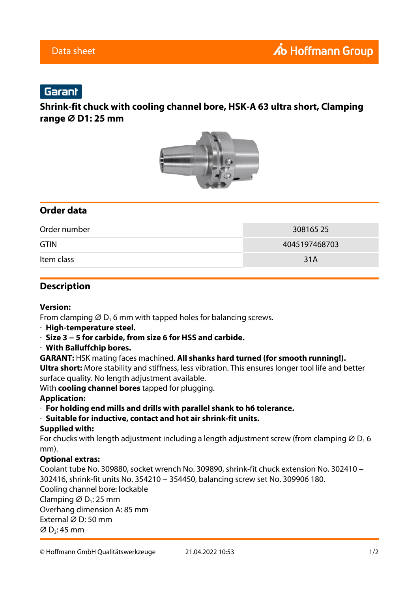## Garant

## **Shrink-fit chuck with cooling channel bore, HSK-A 63 ultra short, Clamping range ⌀ D1: 25 mm**



## **Order data**

| Order number | 30816525      |
|--------------|---------------|
| <b>GTIN</b>  | 4045197468703 |
| Item class   | 31A           |

### **Description**

#### **Version:**

From clamping  $\varnothing$  D<sub>1</sub> 6 mm with tapped holes for balancing screws.

- · **High-temperature steel.**
- · **Size 3 − 5 for carbide, from size 6 for HSS and carbide.**
- · **With Balluffchip bores.**
- **GARANT:** HSK mating faces machined. **All shanks hard turned (for smooth running!). Ultra short:** More stability and stiffness, less vibration. This ensures longer tool life and better surface quality. No length adjustment available.

With **cooling channel bores** tapped for plugging.

#### **Application:**

- · **For holding end mills and drills with parallel shank to h6 tolerance.**
- · **Suitable for inductive, contact and hot air shrink-fit units.**

#### **Supplied with:**

For chucks with length adjustment including a length adjustment screw (from clamping  $\varnothing$  D<sub>1</sub>6 mm).

#### **Optional extras:**

Coolant tube No. 309880, socket wrench No. 309890, shrink-fit chuck extension No. 302410 − 302416, shrink-fit units No. 354210 − 354450, balancing screw set No. 309906 180. Cooling channel bore: lockable Clamping  $\varnothing$  D<sub>1</sub>: 25 mm Overhang dimension A: 85 mm External ⌀ D: 50 mm  $\varnothing$  D<sub>2</sub>: 45 mm